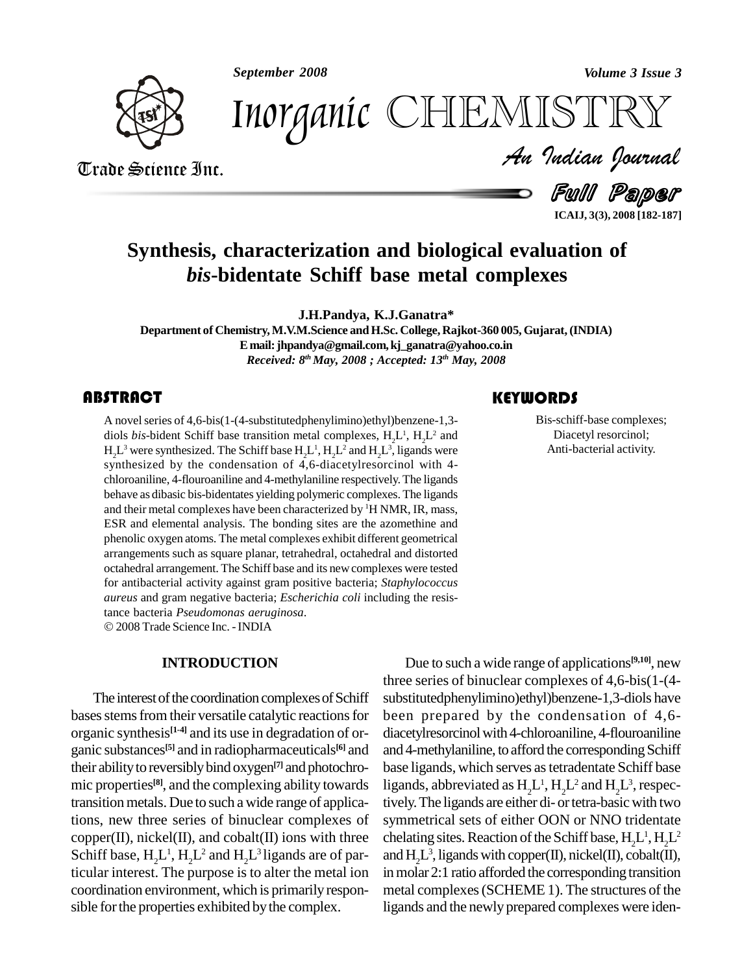*September 2008 Volume 3 Issue 3*



*Volume 3 Issue 3*<br>ISTRY<br>Indian Iournal Inorganic CHEMISTRY

Trade Science Inc. Trade Science Inc.

Full Paper **ICAIJ, 3(3), 2008 [182-187]**

## **Synthesis, characterization and biological evaluation of** *bis***-bidentate Schiff base metal complexes**

**J.H.Pandya, K.J.Ganatra\***

**Department of Chemistry,M.V.M.Science andH.Sc. College, Rajkot-360 005, Gujarat,(INDIA) E mail:[jhpandya@gmail.com,kj\\_gana](mailto:jhpandya@gmail.com,)[tra@yahoo.co.in](mailto:kj_ganatra@yahoo.co.in)** *Received: 8 th May, 2008 ; Accepted: 13 th May, 2008*

A novel series of 4,6-bis(<br>diols *bis*-bident Schiff ba<br> $H_2L^3$  were synthesized. The A novelseries of 4,6-bis(1-(4-substitutedphenylimino)ethyl)benzene-1,3 diols *bis*-bident Schiff base transition metal complexes,  $H_2L^1$ ,  $H_2L^2$  and  $H_2L^3$  were synthesized. The Schiff base  $H_2L^1$ ,  $H_2L^2$  and  $H_2L^3$ , ligands were synthesized by the condensation of 4,6-diacetylresorcinol with 4 chloroaniline, 4-flouroaniline and 4-methylaniline respectively. The ligands behave as dibasic bis-bidentates yielding polymeric complexes. The ligands and their metal complexes have been characterized by <sup>1</sup>H NMR, IR, mass, ESR and elemental analysis. The bonding sites are the azomethine and phenolic oxygen atoms. The metal complexes exhibit different geometrical arrangements such as square planar, tetrahedral, octahedral and distorted octahedral arrangement. The Schiff base and its newcomplexes were tested for antibacterial activity against gram positive bacteria; *Staphylococcus aureus* and gram negative bacteria; *Escherichia coli* including the resis-tance bacteria *Pseudomonas aeruginosa*. 2008Trade Science Inc. -INDIA

#### **INTRODUCTION**

The interest of the coordination complexes of Schiff bases stems from their versatile catalytic reactions for organic synthesis **[1-4]** and its use in degradation of or ganic substances **[5]** and in radiopharmaceuticals their ability to reversibly bind oxygen<sup>[7]</sup> and photochro- base mic properties<sup>[8]</sup>, and the complexing ability towards ligan transitionmetals. Due to such a wide range of applications, new three series of binuclear complexes of  $copper(II)$ , nickel $(II)$ , and  $cobalt(II)$  ions with three Schiff base,  $H_2L^1$ ,  $H_2L^2$  and  $H_2L^3$  ligands are of particular interest. The purpose is to alter the metal ion coordination environment, which is primarilyrespon sible for the properties exhibited by the complex.

### **KEYWORDS**

Bis-schiff-base complexes;<br>Diacetyl resorcinol;<br>Anti-bacterial activity. Bis-schiff-base complexes; Diacetyl resorcinol;

<sup>[6]</sup> and and 4-methylaniline, to afford the corresponding Schiff Due to such a wide range of applications **[9,10]**, new three series of binuclear complexes of 4,6-bis(1-(4 substitutedphenylimino)ethyl)benzene-1,3-diols have been prepared by the condensation of 4,6 diacetylresorcinol with 4-chloroaniline, 4-flouroaniline base ligands, which serves astetradentate Schiff base ligands, abbreviated as  $H_2L^1$ ,  $H_2L^2$  and  $H_2L^3$ , respectively. The ligands are either di- or tetra-basic with two symmetrical sets of either OON or NNO tridentate chelating sites. Reaction of the Schiff base,  $H_2L^1, H_2L^2$ and  $H_2L^3$ , ligands with copper(II), nickel(II), cobalt(II), inmolar 2:1 ratio afforded the corresponding transition metal complexes (SCHEME 1). The structures of the ligands and the newly prepared complexes were iden-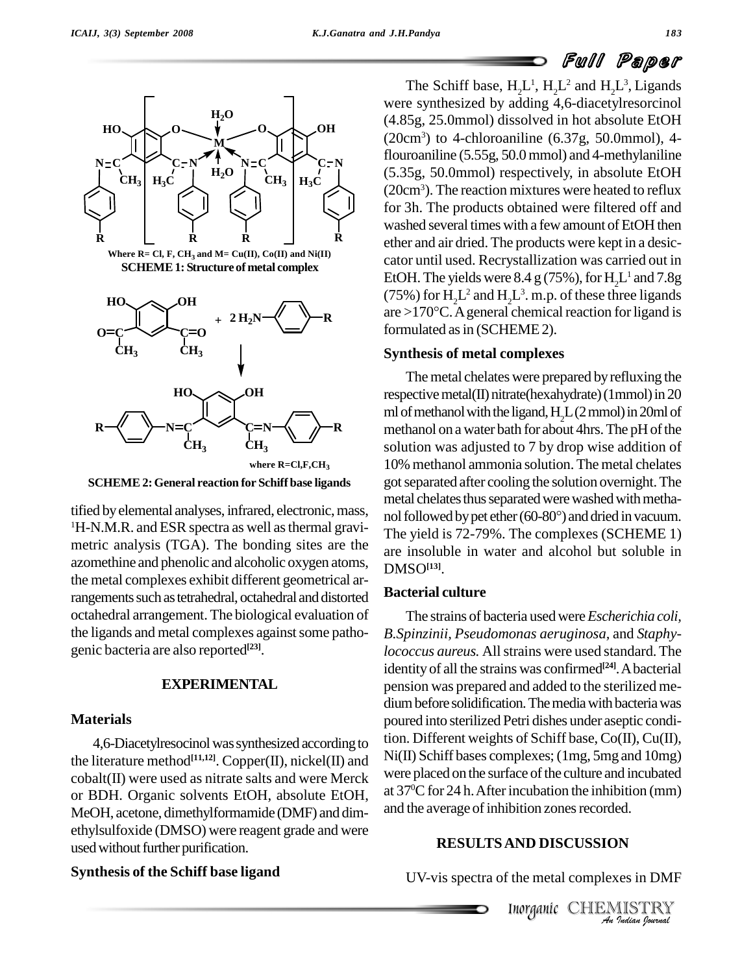## Full Paper



**SCHEME2:General reaction for Schiff base ligands**

tified by elemental analyses, infrared, electronic, mass, <sup>1</sup>H-N.M.R. and ESR spectra as well as thermal gravimetric analysis (TGA). The bonding sites are the azomethine and phenolic and alcoholic oxygen atoms, the metal complexes exhibit different geometrical arrangements such as tetrahedral, octahedral and distorted octahedral arrangement. The biological evaluation of the ligands and metal complexes against some pathogenic bacteria are also reported **[23]**.

#### **EXPERIMENTAL**

#### **Materials**

4,6-Diacetylresocinol was synthesized according to the literature method<sup>[11,12]</sup>. Copper(II), nickel(II) and  $N1(II)$ . cobalt(II) were used as nitrate salts and were Merck or BDH. Organic solvents EtOH, absolute EtOH, MeOH, acetone, dimethylformamide (DMF) and dim ethylsulfoxide (DMSO) were reagent grade and were used without further purification.

### **Synthesis of the Schiff base ligand**

The Schiff base,  $H_2L^1$ ,  $H_2L^2$  and  $H_2L^3$ , Ligands were synthesized by adding 4,6-diacetylresorcinol (4.85g, 25.0mmol) dissolved in hot absolute EtOH  $(20cm<sup>3</sup>)$  to 4-chloroaniline  $(6.37g, 50.0mmol)$ , 4flouroaniline (5.55g, 50.0 mmol) and 4-methylaniline (5.35g, 50.0mmol) respectively, in absolute EtOH (20cm<sup>3</sup>). The reaction mixtures were heated to reflux for 3h. The products obtained were filtered off and washed several times with a few amount of EtOH then **R**  $\Box$  **R** ether and air dried. The products were kept in a desiccator until used. Recrystallization was carried out in EtOH. The yields were  $8.4 \text{ g}$  (75%), for  $H_2L^1$  and 7.8g<br>(75%) for  $H_2L^2$  and  $H_2L^3$ . m.p. of these three ligands<br>are >170°C. A general chemical reaction for ligand is (75%) for  $H_2L^2$  and  $H_2L^3$ . m.p. of these three ligands formulated as in (SCHEME 2).

#### **Synthesis of metal complexes**

The metal chelates were prepared by refluxing the respective metal(II) nitrate(hexahydrate) (1mmol) in 20 ml of methanol with the ligand,  $H<sub>2</sub>L(2mmol)$  in 20ml of methanol on a water bath for about 4hrs. The pH of the solution was adjusted to 7 by drop wise addition of 10% methanol ammonia solution. The metal chelates gotseparated after cooling the solution overnight.The metal chelates thus separated were washed with methanol followed by pet ether (60-80°) and dried in vacuum. The yield is 72-79%. The complexes (SCHEME 1) are insoluble in water and alcohol but soluble in DMSO**[13]**.

### **Bacterial culture**

and the average of inhibition zones recorded. The strains of bacteria usedwere*Escherichia coli, B.Spinzinii, Pseudomonas aeruginosa,* and *Staphylococcus aureus.* Allstrains were used standard.The identity of all the strains was confirmed **[24]**.Abacterial pension was prepared and added to the sterilized me dium before solidification. The media with bacteria was poured into sterilized Petri dishes under aseptic condition. Different weights of Schiff base, Co(II), Cu(II), Ni(II) Schiff bases complexes; (1mg, 5mg and 10mg) were placed on the surface of the culture and incubated at 37 <sup>0</sup>Cfor 24 h.Afterincubation the inhibition (mm)

### **RESULTSAND DISCUSSION**

UV-vis spectra of the metal complexes in DMF

Inorganic CHEMISTRY *India*<br> *Indian*<br> *ISTRY*<br> *Indian bouwad*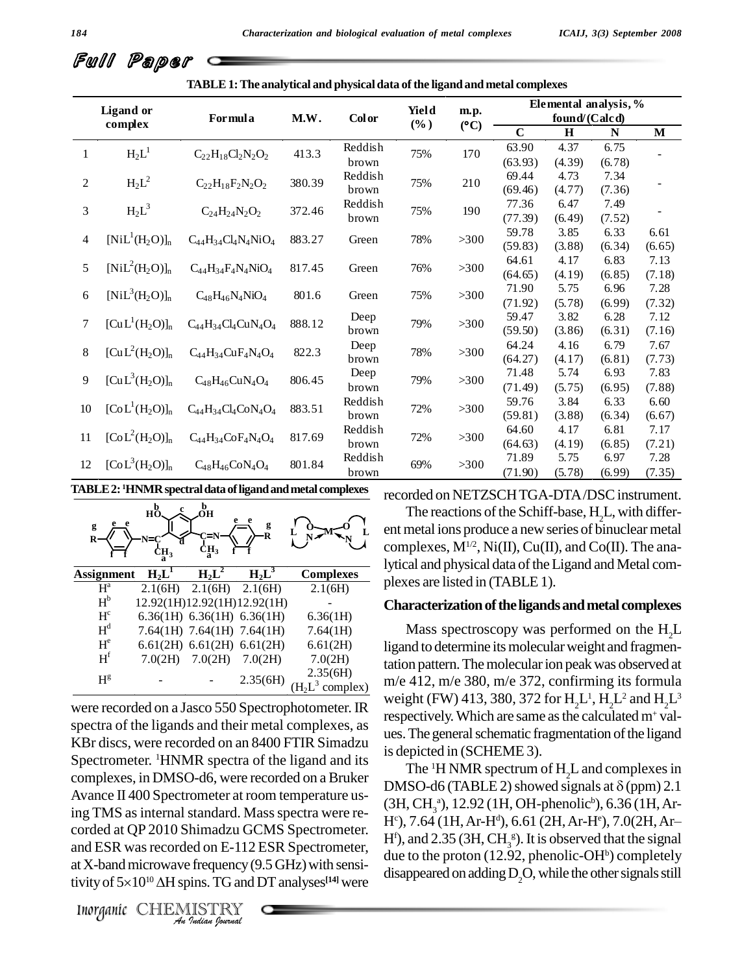|  | Full Paper c |  |
|--|--------------|--|
|--|--------------|--|

**TABLE1:The analytical and physicaldata ofthe ligandand metal complexes**

| <b>Ligand</b> or<br>complex |                         | Formula                         | M.W.   | <b>Color</b>     | Yield<br>$(\%)$ | m.p.<br>(C) | Elemental analysis, %<br>found/(Calcd) |                |                |                |
|-----------------------------|-------------------------|---------------------------------|--------|------------------|-----------------|-------------|----------------------------------------|----------------|----------------|----------------|
|                             |                         |                                 |        |                  |                 |             | $\mathbf C$                            | $\bf H$        | N              | M              |
| $\mathbf{1}$                | $H_2L^1$                | $C_{22}H_{18}Cl_2N_2O_2$        | 413.3  | Reddish<br>brown | 75%             | 170         | 63.90<br>(63.93)                       | 4.37<br>(4.39) | 6.75<br>(6.78) |                |
| $\overline{c}$              | $H_2L^2$                | $C_{22}H_{18}F_{2}N_{2}O_{2}$   | 380.39 | Reddish<br>brown | 75%             | 210         | 69.44<br>(69.46)                       | 4.73<br>(4.77) | 7.34<br>(7.36) |                |
| 3                           | $H_2L^3$                | $C_{24}H_{24}N_2O_2$            | 372.46 | Reddish<br>brown | 75%             | 190         | 77.36<br>(77.39)                       | 6.47<br>(6.49) | 7.49<br>(7.52) |                |
| 4                           | $[NiL^1(H_2O)]_n$       | $C_{44}H_{34}Cl_4N_4NiO_4$      | 883.27 | Green            | 78%             | $>300$      | 59.78<br>(59.83)                       | 3.85<br>(3.88) | 6.33<br>(6.34) | 6.61<br>(6.65) |
| 5                           | $[NiL^{2}(H_{2}O)]_{n}$ | $C_{44}H_{34}F_4N_4NiO_4$       | 817.45 | Green            | 76%             | $>300$      | 64.61<br>(64.65)                       | 4.17<br>(4.19) | 6.83<br>(6.85) | 7.13<br>(7.18) |
| 6                           | $[NiL^{3}(H_{2}O)]_{n}$ | $C_{48}H_{46}N_4NiO_4$          | 801.6  | Green            | 75%             | $>300$      | 71.90<br>(71.92)                       | 5.75<br>(5.78) | 6.96<br>(6.99) | 7.28<br>(7.32) |
| 7                           | $[CuL1(H2O)]n$          | $C_{44}H_{34}Cl_4CuN_4O_4$      | 888.12 | Deep<br>brown    | 79%             | $>300$      | 59.47<br>(59.50)                       | 3.82<br>(3.86) | 6.28<br>(6.31) | 7.12<br>(7.16) |
| $8\,$                       | $[CuL2(H2O)]n$          | $C_{44}H_{34}CuF_{4}N_{4}O_{4}$ | 822.3  | Deep<br>brown    | 78%             | $>300$      | 64.24<br>(64.27)                       | 4.16<br>(4.17) | 6.79<br>(6.81) | 7.67<br>(7.73) |
| 9                           | $[CuL3(H2O)]n$          | $C_{48}H_{46}CuN_4O_4$          | 806.45 | Deep<br>brown    | 79%             | $>300$      | 71.48<br>(71.49)                       | 5.74<br>(5.75) | 6.93<br>(6.95) | 7.83<br>(7.88) |
| 10                          | $[CoL1(H2O)]n$          | $C_{44}H_{34}Cl_4CoN_4O_4$      | 883.51 | Reddish<br>brown | 72%             | $>300$      | 59.76<br>(59.81)                       | 3.84<br>(3.88) | 6.33<br>(6.34) | 6.60<br>(6.67) |
| 11                          | $[CoL2(H2O)]n$          | $C_{44}H_{34}CoF_{4}N_{4}O_{4}$ | 817.69 | Reddish<br>brown | 72%             | $>300$      | 64.60<br>(64.63)                       | 4.17<br>(4.19) | 6.81<br>(6.85) | 7.17<br>(7.21) |
| 12                          | $[CoL3(H2O)]n$          | $C_{48}H_{46}CoN_4O_4$          | 801.84 | Reddish<br>brown | 69%             | >300        | 71.89<br>(71.90)                       | 5.75<br>(5.78) | 6.97<br>(6.99) | 7.28<br>(7.35) |

**TABLE2: <sup>1</sup>HNMRspectraldata ofligandandmetal complexes**

recorded on NETZSCHTGA-DTA/DSC instrument.

| g<br>R         | $h_0^b$<br>'N⊐<br>Ή, | b<br>Эн<br>.<br>2Н3          | g<br>R                      |                      |
|----------------|----------------------|------------------------------|-----------------------------|----------------------|
| Assignment     | $H_2L^1$             | $H_2L^2$                     | $H_2L^3$                    | <b>Complexes</b>     |
| $H^a$          |                      | $2.1(6H)$ $2.1(6H)$          | 2.1(6H)                     | 2.1(6H)              |
| $H^b$          |                      |                              | 12.92(1H)12.92(1H)12.92(1H) |                      |
| H <sup>c</sup> |                      | 6.36(1H) $6.36(1H)$ 6.36(1H) |                             | 6.36(1H)             |
| $H^d$          |                      | 7.64(1H) 7.64(1H) 7.64(1H)   |                             | 7.64(1H)             |
| $H^e$          |                      | 6.61(2H) 6.61(2H) 6.61(2H)   |                             | 6.61(2H)             |
| $H^f$          |                      | $7.0(2H)$ $7.0(2H)$          | 7.0(2H)                     | 7.0(2H)              |
| $H^g$          |                      |                              | 2.35(6H)                    | 2.35(6H)<br>complex) |

 $\frac{1}{2}$ ing TMS as internal standard. Mass spectra were re-In Thus as internal standard. Mass spectra we<br>corded at QP 2010 Shimadzu GCMS Spectron<br>
Ind ESR was recorded on E-112 ESR Spectron<br>
It X-band microwave frequency (9.5 GHz) with<br>
ivity of 5×10<sup>10</sup> ΔH spins. TG and DT analys were recorded on a Jasco 550 Spectrophotometer. IR spectra of the ligands and their metal complexes, as KBr discs, were recorded on an 8400 FTIR Simadzu Spectrometer. <sup>1</sup>HNMR spectra of the ligand and its complexes, in DMSO-d6, were recorded on aBruker Avance II 400 Spectrometer at room temperature usrig TWS as internal standard. Mass spectra were related to  $H^c$ ), 7.64 (1H, Ar-H<sup>d</sup>), 6.61 (2H, Ar-H<sup>e</sup>), 7.0(2H, Ar-<br>corded at QP 2010 Shimadzu GCMS Spectrometer. If the and 2.25 (2H, CH s) It is absented that the signa and ESR was recorded on E-112 ESR Spectrometer, at X-band microwave frequency  $(9.5$  GHz) with sensiand ESR was recorded on E-112 ESR Spectrometer,<br>at X-band microwave frequency (9.5 GHz) with sensi-<br>tivity of  $5\times10^{10}$   $\Delta$ H spins. TG and DT analyses<sup>[14]</sup> were

 $\overline{N}$  complexes,  $M^{1/2}$ , Ni(II), Cu(II), and Co(II). The ana-**<sup>O</sup> <sup>L</sup> <sup>M</sup> <sup>L</sup>** The reactions ofthe Schiff-base, <sup>H</sup>2L, with differ- ent metal ions produce <sup>a</sup> new series of binuclearmetal lytical and physical data of the Ligand and Metal complexes are listed in (TABLE1).

#### **Characterization of the ligands and metal complexes**

 $\frac{355(01)}{3}$  complex) m/e 412, m/e 380, m/e 372, confirming its formula Mass spectroscopy was performed on the  $H<sub>2</sub>L$ ligand to determine its molecular weight and fragmentation pattern. The molecular ion peak was observed at weight (FW) 413, 380, 372 for  $\mathrm{H}_{2}\mathrm{L}^{1}, \mathrm{H}_{2}\mathrm{L}^{2}$  and  $\mathrm{H}_{2}\mathrm{L}^{3}$ respectively. Which are same as the calculated m<sup>+</sup> values. The general schematic fragmentation of the ligand is depicted in (SCHEME 3).

> The  ${}^{1}$ H NMR spectrum of  $H_{2}$ L and complexes in DMSO-d6 (TABLE 2) showed signals at  $\delta$  (ppm) 2.1 (3H, CH<sub>3</sub>ª), 12.92 (1H, OH-phenolic<sup>b</sup>), 6.36 (1H, Ar-DMSO-d6 (TABLE 2) showed signals at  $\delta$  (ppm) 2.1<br>(3H, CH,<sup>a</sup>), 12.92 (1H, OH-phenolic<sup>b</sup>), 6.36 (1H, Ar-<br>H°), 7.64 (1H, Ar-H<sup>a</sup>), 6.61 (2H, Ar-H°), 7.0(2H, Ar-H<sup>f</sup>), and 2.35 (3H,  $CH_3^s$ ). It is observed that the signal due to the proton (12.92, phenolic-OH $\text{^{b}}$ ) completely disappeared on adding  $D_2O$ , while the other signals still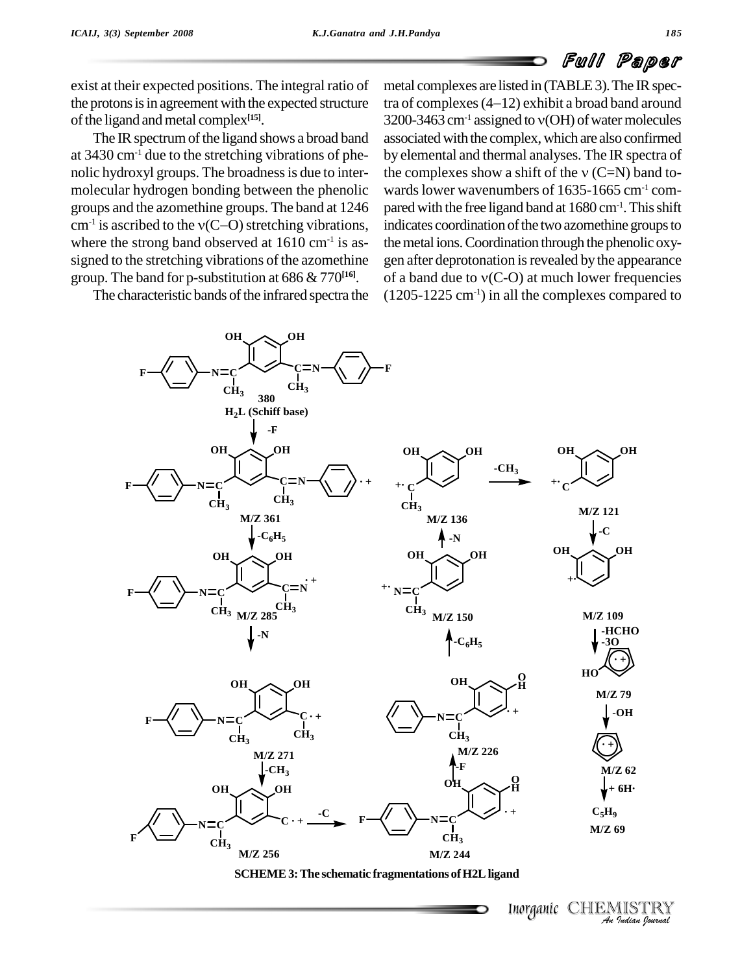# Full Paper

exist at their expected positions. The integral ratio of the protons is in agreement with the expected structure of the ligand and metal complex<sup>[15]</sup>.

The IR spectrum of the ligand shows a broad band at  $3430 \text{ cm}^{-1}$  due to the stretching vibrations of phenolic hydroxyl groups. The broadness is due to inter- the complexes show a shift of the  $v(C=N)$  band tomolecular hydrogen bonding between the phenolic groups and the azomethine groups. The band at 1246  $cm^{-1}$  is ascribed to the  $v(C-Q)$  stretching vibrations, is cular hydrogen bonding between the phenolic way<br>ps and the azomethine groups. The band at  $1246$  particles is ascribed to the  $v(C-O)$  stretching vibrations, in where the strong band observed at  $1610 \text{ cm}^{-1}$  is as-<br>the signed to the stretching vibrations of the azomethine group. The band for p-substitution at 686 & 770 **[16]**.

The characteristic bands of the infrared spectra the

metal complexes are listed in (TABLE 3). The IR spectra of complexes are listed in (TABLE 3). The IR spectra of complexes  $(4-12)$  exhibit a broad band around metal complexes are listed in (TABLE 3). The IR spectra of complexes (4–12) exhibit a broad band around<br>3200-3463 cm<sup>-1</sup> assigned to v(OH) of water molecules associated with the complex, which are also confirmed by elemental and thermal analyses. The IR spectra of associated with the complex, which are also confirmed<br>by elemental and thermal analyses. The IR spectra of<br>the complexes show a shift of the  $v(C=N)$  band towards lower wavenumbers of 1635-1665 cm<sup>-1</sup> compared with the free ligand band at 1680 cm-1 .Thisshift indicates coordination of the two azomethine groups to the metal ions. Coordination through the phenolic oxy-<br>gen after deprotonation is revealed by the appearance<br>of a band due to  $v(C-O)$  at much lower frequencies gen after deprotonation is revealed by the appearance  $(1205-1225 \text{ cm}^{-1})$  in all the complexes compared to





Inorganic CHEMIST<br>An Indian Io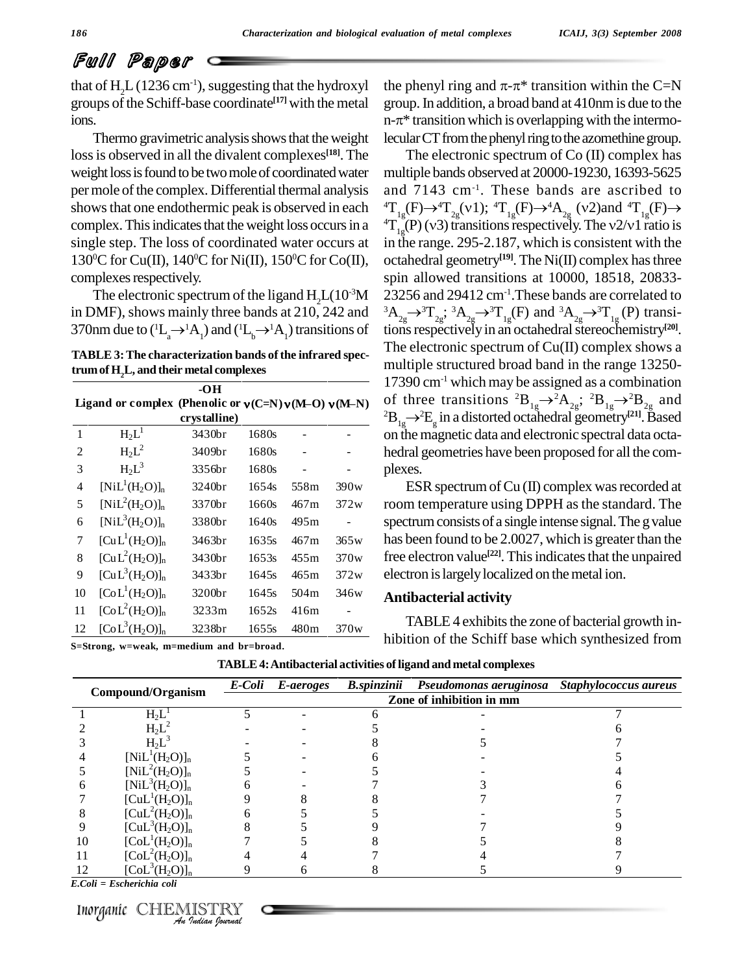## Full Paper

that of  $H<sub>1</sub>L(1236 cm<sup>-1</sup>)$ , suggesting that the hydroxyl groups of the Schiff-base coordinate<sup>[17]</sup> with the metal groups

loss is observed in all the divalent complexes<sup>[18]</sup>. The TI weight loss is found to be two mole of coordinated water per mole of the complex. Differential thermal analysis shows that one endothermic peak is observed in each complex. This indicates that the weight loss occurs in a  ${}^{4}T_{12}^{9}(P)(v3)$  transitions respectively. The v2/v1 ratio is single step. The loss of coordinated water occurs at 130<sup>o</sup>C for Cu(II), 140<sup>o</sup>C for Ni(II), 150<sup>o</sup>C for Co(II), oc complexes respectively.

The electronic spectrum of the ligand  $H_2L(10^{-3}M$  232<br>
20MF), shows mainly three bands at 210, 242 and <sup>3</sup>A<sub>2</sub><br>
1 and the to  $(H_a \rightarrow^1 A_1)$  and  $(H_b \rightarrow^1 A_1)$  transitions of tion in DMF), shows mainly three bands at  $210$ ,  $242$  and The electronic spectrum of the ligand  $H_2L(10^{-3}M$  232<br>in DMF), shows mainly three bands at 210, 242 and <sup>3</sup>A<sub>23</sub><br>370nm due to (<sup>1</sup>L<sub>a</sub>  $\rightarrow$ <sup>1</sup>A<sub>1</sub>) and (<sup>1</sup>L<sub>b</sub>  $\rightarrow$ <sup>1</sup>A<sub>1</sub>) transitions of tion

**TABLE 3:The characterization bands ofthe infrared spectrumof H2L, and their metal complexes**

|                | trum of H <sub>2</sub> L, and their metal complexes   |                     |       |                  |                              |                                                                                                                                                                                                                        |
|----------------|-------------------------------------------------------|---------------------|-------|------------------|------------------------------|------------------------------------------------------------------------------------------------------------------------------------------------------------------------------------------------------------------------|
|                | Ligand or complex (Phenolic or $v(C=N)v(M-O)v(M-N)$ ) | -OH<br>crystalline) |       |                  |                              | $17390 \text{ cm}^{-1}$ which may be assign<br>of three transitions ${}^{2}B_{10} \rightarrow {}^{2}A$<br><sup>2</sup> B <sub>1s</sub> $\rightarrow$ <sup>2</sup> E <sub>s</sub> in a distorted octahedra <sup>2</sup> |
| $\mathbf{1}$   | $H_2L^1$                                              | 3430br              | 1680s |                  |                              | on the magnetic data and electron                                                                                                                                                                                      |
| $\overline{c}$ | $H_2L^2$                                              | 3409br              | 1680s |                  |                              | hedral geometries have been prop                                                                                                                                                                                       |
| 3              | $H_2L^3$                                              | 3356br              | 1680s |                  |                              | plexes.                                                                                                                                                                                                                |
| 4              | $[NiL^1(H_2O)]_n$                                     | 3240br              | 1654s | 558m             | 390w                         | ESR spectrum of $Cu (II)$ com                                                                                                                                                                                          |
| 5              | $[NiL^2(H_2O)]_n$                                     | 3370br              | 1660s | 467m             | 372w                         | room temperature using DPPH                                                                                                                                                                                            |
| 6              | $[NiL^{3}(H_{2}O)]_{n}$                               | 3380br              | 1640s | 495 <sub>m</sub> | $\qquad \qquad \blacksquare$ | spectrum consists of a single inten                                                                                                                                                                                    |
| 7              | $[\text{CuL}^1(\text{H}_2\text{O})]_n$                | 3463br              | 1635s | 467m             | 365w                         | has been found to be 2.0027, whi                                                                                                                                                                                       |
| 8              | $[CuL2(H2O)]n$                                        | 3430br              | 1653s | 455m             | 370w                         | free electron value <sup>[22]</sup> . This indica                                                                                                                                                                      |
| 9              | $[CuL3(H2O)]n$                                        | 3433br              | 1645s | 465m             | 372w                         | electron is largely localized on the                                                                                                                                                                                   |
| 10             | $[CoL1(H2O)]n$                                        | 3200 <sub>br</sub>  | 1645s | 504m             | 346w                         | <b>Antibacterial activity</b>                                                                                                                                                                                          |
| 11             | $[CoL2(H2O)]n$                                        | 3233m               | 1652s | 416m             |                              |                                                                                                                                                                                                                        |
| 12             | $[CoL3(H2O)]n$                                        | 3238br              | 1655s | 480m             | 370w                         | TABLE 4 exhibits the zone of                                                                                                                                                                                           |
|                | S=Strong, w=weak, m=medium and br=broad.              |                     |       |                  |                              | hibition of the Schiff base which                                                                                                                                                                                      |

ions.<br>Thermo gravimetric analysis shows that the weight lecular CT from the phenyl ring to the azomethine group. the phenyl ring and  $\pi$ - $\pi$ <sup>\*</sup> transition within the C=N group.In addition, a broad band at 410nmis due to the the phenyl ring and  $\pi$ - $\pi$ <sup>\*</sup> transition within the C=N group. In addition, a broad band at 410nm is due to the n- $\pi$ <sup>\*</sup> transition which is overlapping with the intermolecular CT from the phenyl ring to the azomethine group.

> -3M 23256 and 29412 cm-1 .These bands are correlated to The electronic spectrum of Co (II) complex has multiple bands observed at 20000-19230, 16393-5625 and 7143 cm-1 . These bands are ascribed to multiple bands observed at 20000-19230, 16393-5625<br>and 7143 cm<sup>-1</sup>. These bands are ascribed to<br><sup>4</sup>T<sub>1g</sub>(F) $\rightarrow$ <sup>4</sup>T<sub>2g</sub>(v1); <sup>4</sup>T<sub>1g</sub>(F) $\rightarrow$ <sup>4</sup>A<sub>2g</sub> (v2)and <sup>4</sup>T<sub>1g</sub>(F) $\rightarrow$ and 7143 cm<sup>-1</sup>. These bands are ascribed to<br><sup>4</sup>T<sub>1g</sub>(F) $\rightarrow$ <sup>4</sup>T<sub>1g</sub>(V1); <sup>4</sup>T<sub>1g</sub>(F) $\rightarrow$ <sup>4</sup>A<sub>2g</sub> (v2)and <sup>4</sup>T<sub>1g</sub>(F) $\rightarrow$ <br><sup>4</sup>T<sub>1g</sub>(P)(v3) transitions respectively. The v2/v1 ratio is in the range. 295-2.187, which is consistent with the octahedral geometry **[19]**. The Ni(II) complex hasthree spin allowed transitions at 10000, 18518, 20833-  ${}^{3}A_{2g} \rightarrow {}^{3}T_{2g}$ ;  ${}^{3}A_{2g} \rightarrow {}^{3}T_{1g}$ (F) and  ${}^{3}A_{2g} \rightarrow {}^{3}T_{1g}$ (P) transitions respectively in an octahedral stereochemistry<sup>[20]</sup>. The electronic spectrum of Cu(II) complex shows a multiple structured broad band in the range 13250- 17390 cm-1 which may be assigned as a combination of three transitions  ${}^{2}B_{1g} \rightarrow {}^{2}A_{2g}$ ;  ${}^{2}B_{1g} \rightarrow {}^{2}B_{2g}$  and  ${}^{2}\text{B}_{1g}{\rightarrow} {}^{2}\text{E}_{g}$  in a distorted octahedral geometry<sup>[21]</sup>. Based on themagnetic data and electronic spectral data octa hedral geometries have been proposed for all the com plexes.

 $(H_2O)$ <sub>n</sub> 3370br 1660s 467m 372w room temperature using DPPH as the standard. The  $(H_2O)$ <sub>n</sub> 3463br 1635s 467m 365w has been found to be 2.0027, which is greater than the  $(H_2O)$ <sup>n</sup> 3430br 1653s 455m 370w free electron value<sup>[22]</sup>. This indicates that the unpaired  $(H_2O)$ <sup>n</sup> 3433br 1645s 465m 372w electron is largely localized on the metal ion. ESR spectrum of  $Cu$  (II) complex was recorded at spectrum consists of a single intense signal. The g value

TABLE 4 exhibits the zone of bacterial growth in-<br>hibition of the Schiff base which synthesized from

| Compound/Organism |                           |                          | E-Coli E-aeroges | <b>B.spinzinii</b> | Pseudomonas aeruginosa | Staphylococcus aureus |  |  |  |
|-------------------|---------------------------|--------------------------|------------------|--------------------|------------------------|-----------------------|--|--|--|
|                   |                           | Zone of inhibition in mm |                  |                    |                        |                       |  |  |  |
|                   | $H_2L$                    |                          |                  |                    |                        |                       |  |  |  |
|                   | $H_2L^2$                  |                          |                  |                    |                        |                       |  |  |  |
|                   | $H_2L^2$                  |                          |                  |                    |                        |                       |  |  |  |
|                   | $[NiL^1(H_2O)]_n$         |                          |                  |                    |                        |                       |  |  |  |
|                   | $[NiL^{2}(H_{2}O)]_{n}$   |                          |                  |                    |                        |                       |  |  |  |
|                   | $[NiL^{3}(H_{2}O)]_{n}$   |                          |                  |                    |                        |                       |  |  |  |
|                   | $[CuL1(H2O)]n$            |                          |                  |                    |                        |                       |  |  |  |
| χ                 | $[CuL2(H2O)]n$            |                          |                  |                    |                        |                       |  |  |  |
| 9                 | $[CuL3(H2O)]n$            |                          |                  |                    |                        |                       |  |  |  |
| 10                | $[CoL1(H2O)]n$            |                          |                  |                    |                        |                       |  |  |  |
| 11                | $[CoL2(H2O)]n$            |                          |                  |                    |                        |                       |  |  |  |
| 12                | $[Col3(H2O)]n$            |                          |                  |                    |                        |                       |  |  |  |
|                   | E.Coli = Escherichia coli |                          |                  |                    |                        |                       |  |  |  |
| Inorganic         |                           |                          |                  |                    |                        |                       |  |  |  |
|                   | An Indian Nournal         |                          |                  |                    |                        |                       |  |  |  |

**TABLE4:Antibacterial activities ofligand and metal complexes**